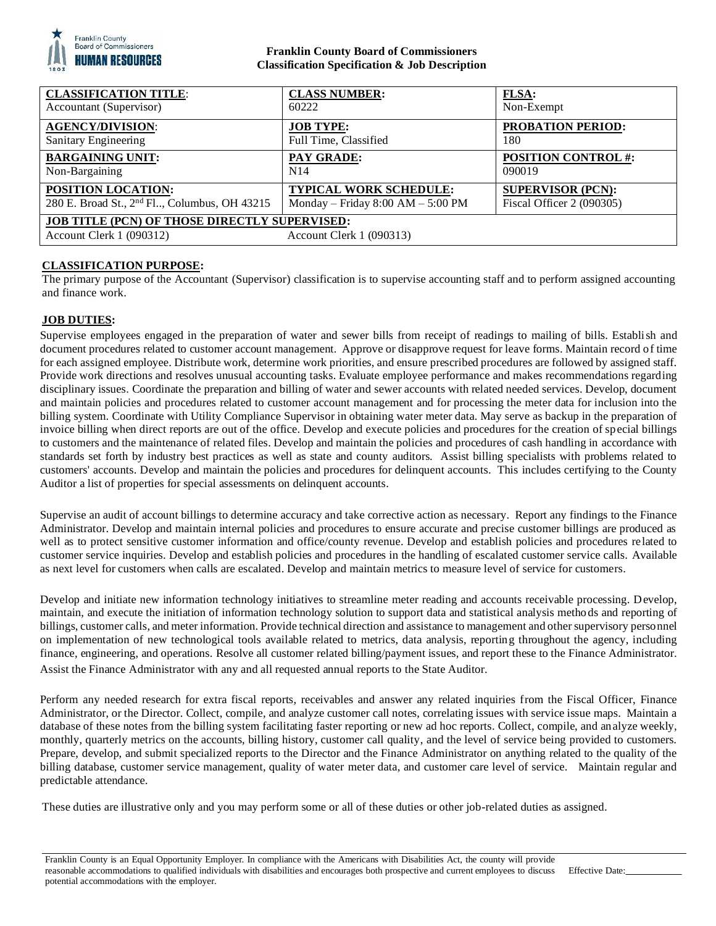

### **Franklin County Board of Commissioners Classification Specification & Job Description**

| <b>CLASSIFICATION TITLE:</b>                                                                                 | <b>CLASS NUMBER:</b>                  | <b>FLSA:</b>               |
|--------------------------------------------------------------------------------------------------------------|---------------------------------------|----------------------------|
| Accountant (Supervisor)                                                                                      | 60222                                 | Non-Exempt                 |
| <b>AGENCY/DIVISION:</b>                                                                                      | <b>JOB TYPE:</b>                      | <b>PROBATION PERIOD:</b>   |
| Sanitary Engineering                                                                                         | Full Time, Classified                 | 180                        |
| <b>BARGAINING UNIT:</b>                                                                                      | PAY GRADE:                            | <b>POSITION CONTROL #:</b> |
| Non-Bargaining                                                                                               | N <sub>14</sub>                       | 090019                     |
| POSITION LOCATION:                                                                                           | <b>TYPICAL WORK SCHEDULE:</b>         | <b>SUPERVISOR (PCN):</b>   |
| 280 E. Broad St., 2 <sup>nd</sup> Fl., Columbus, OH 43215                                                    | Monday – Friday $8:00$ AM – $5:00$ PM | Fiscal Officer 2 (090305)  |
| <b>JOB TITLE (PCN) OF THOSE DIRECTLY SUPERVISED:</b><br>Account Clerk 1 (090312)<br>Account Clerk 1 (090313) |                                       |                            |

# **CLASSIFICATION PURPOSE:**

The primary purpose of the Accountant (Supervisor) classification is to supervise accounting staff and to perform assigned accounting and finance work.

# **JOB DUTIES:**

Supervise employees engaged in the preparation of water and sewer bills from receipt of readings to mailing of bills. Establish and document procedures related to customer account management. Approve or disapprove request for leave forms. Maintain record of time for each assigned employee. Distribute work, determine work priorities, and ensure prescribed procedures are followed by assigned staff. Provide work directions and resolves unusual accounting tasks. Evaluate employee performance and makes recommendations regarding disciplinary issues. Coordinate the preparation and billing of water and sewer accounts with related needed services. Develop, document and maintain policies and procedures related to customer account management and for processing the meter data for inclusion into the billing system. Coordinate with Utility Compliance Supervisor in obtaining water meter data. May serve as backup in the preparation of invoice billing when direct reports are out of the office. Develop and execute policies and procedures for the creation of special billings to customers and the maintenance of related files. Develop and maintain the policies and procedures of cash handling in accordance with standards set forth by industry best practices as well as state and county auditors. Assist billing specialists with problems related to customers' accounts. Develop and maintain the policies and procedures for delinquent accounts. This includes certifying to the County Auditor a list of properties for special assessments on delinquent accounts.

Supervise an audit of account billings to determine accuracy and take corrective action as necessary. Report any findings to the Finance Administrator. Develop and maintain internal policies and procedures to ensure accurate and precise customer billings are produced as well as to protect sensitive customer information and office/county revenue. Develop and establish policies and procedures related to customer service inquiries. Develop and establish policies and procedures in the handling of escalated customer service calls. Available as next level for customers when calls are escalated. Develop and maintain metrics to measure level of service for customers.

Develop and initiate new information technology initiatives to streamline meter reading and accounts receivable processing. Develop, maintain, and execute the initiation of information technology solution to support data and statistical analysis methods and reporting of billings, customer calls, and meter information. Provide technical direction and assistance to management and other supervisory personnel on implementation of new technological tools available related to metrics, data analysis, reporting throughout the agency, including finance, engineering, and operations. Resolve all customer related billing/payment issues, and report these to the Finance Administrator. Assist the Finance Administrator with any and all requested annual reports to the State Auditor.

Perform any needed research for extra fiscal reports, receivables and answer any related inquiries from the Fiscal Officer, Finance Administrator, or the Director. Collect, compile, and analyze customer call notes, correlating issues with service issue maps. Maintain a database of these notes from the billing system facilitating faster reporting or new ad hoc reports. Collect, compile, and analyze weekly, monthly, quarterly metrics on the accounts, billing history, customer call quality, and the level of service being provided to customers. Prepare, develop, and submit specialized reports to the Director and the Finance Administrator on anything related to the quality of the billing database, customer service management, quality of water meter data, and customer care level of service. Maintain regular and predictable attendance.

These duties are illustrative only and you may perform some or all of these duties or other job-related duties as assigned.